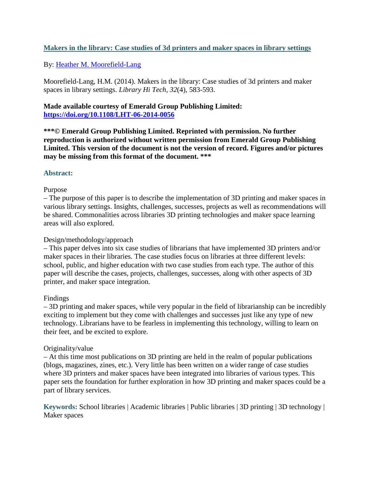# **Makers in the library: Case studies of 3d printers and maker spaces in library settings**

# By: [Heather M. Moorefield-Lang](https://libres.uncg.edu/ir/uncg/clist.aspx?id=14828)

Moorefield-Lang, H.M. (2014). Makers in the library: Case studies of 3d printers and maker spaces in library settings. *Library Hi Tech, 32*(4), 583-593.

### **Made available courtesy of Emerald Group Publishing Limited: <https://doi.org/10.1108/LHT-06-2014-0056>**

**\*\*\*© Emerald Group Publishing Limited. Reprinted with permission. No further reproduction is authorized without written permission from Emerald Group Publishing Limited. This version of the document is not the version of record. Figures and/or pictures may be missing from this format of the document. \*\*\***

## **Abstract:**

### Purpose

– The purpose of this paper is to describe the implementation of 3D printing and maker spaces in various library settings. Insights, challenges, successes, projects as well as recommendations will be shared. Commonalities across libraries 3D printing technologies and maker space learning areas will also explored.

### Design/methodology/approach

– This paper delves into six case studies of librarians that have implemented 3D printers and/or maker spaces in their libraries. The case studies focus on libraries at three different levels: school, public, and higher education with two case studies from each type. The author of this paper will describe the cases, projects, challenges, successes, along with other aspects of 3D printer, and maker space integration.

### Findings

– 3D printing and maker spaces, while very popular in the field of librarianship can be incredibly exciting to implement but they come with challenges and successes just like any type of new technology. Librarians have to be fearless in implementing this technology, willing to learn on their feet, and be excited to explore.

### Originality/value

– At this time most publications on 3D printing are held in the realm of popular publications (blogs, magazines, zines, etc.). Very little has been written on a wider range of case studies where 3D printers and maker spaces have been integrated into libraries of various types. This paper sets the foundation for further exploration in how 3D printing and maker spaces could be a part of library services.

**Keywords:** School libraries | Academic libraries | Public libraries | 3D printing | 3D technology | Maker spaces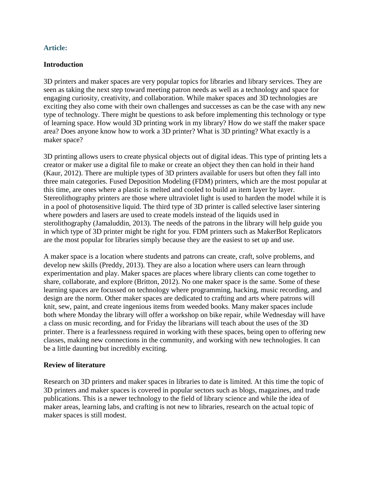### **Article:**

### **Introduction**

3D printers and maker spaces are very popular topics for libraries and library services. They are seen as taking the next step toward meeting patron needs as well as a technology and space for engaging curiosity, creativity, and collaboration. While maker spaces and 3D technologies are exciting they also come with their own challenges and successes as can be the case with any new type of technology. There might be questions to ask before implementing this technology or type of learning space. How would 3D printing work in my library? How do we staff the maker space area? Does anyone know how to work a 3D printer? What is 3D printing? What exactly is a maker space?

3D printing allows users to create physical objects out of digital ideas. This type of printing lets a creator or maker use a digital file to make or create an object they then can hold in their hand (Kaur, 2012). There are multiple types of 3D printers available for users but often they fall into three main categories. Fused Deposition Modeling (FDM) printers, which are the most popular at this time, are ones where a plastic is melted and cooled to build an item layer by layer. Stereolithography printers are those where ultraviolet light is used to harden the model while it is in a pool of photosensitive liquid. The third type of 3D printer is called selective laser sintering where powders and lasers are used to create models instead of the liquids used in sterolithography (Jamaluddin, 2013). The needs of the patrons in the library will help guide you in which type of 3D printer might be right for you. FDM printers such as MakerBot Replicators are the most popular for libraries simply because they are the easiest to set up and use.

A maker space is a location where students and patrons can create, craft, solve problems, and develop new skills (Preddy, 2013). They are also a location where users can learn through experimentation and play. Maker spaces are places where library clients can come together to share, collaborate, and explore (Britton, 2012). No one maker space is the same. Some of these learning spaces are focussed on technology where programming, hacking, music recording, and design are the norm. Other maker spaces are dedicated to crafting and arts where patrons will knit, sew, paint, and create ingenious items from weeded books. Many maker spaces include both where Monday the library will offer a workshop on bike repair, while Wednesday will have a class on music recording, and for Friday the librarians will teach about the uses of the 3D printer. There is a fearlessness required in working with these spaces, being open to offering new classes, making new connections in the community, and working with new technologies. It can be a little daunting but incredibly exciting.

### **Review of literature**

Research on 3D printers and maker spaces in libraries to date is limited. At this time the topic of 3D printers and maker spaces is covered in popular sectors such as blogs, magazines, and trade publications. This is a newer technology to the field of library science and while the idea of maker areas, learning labs, and crafting is not new to libraries, research on the actual topic of maker spaces is still modest.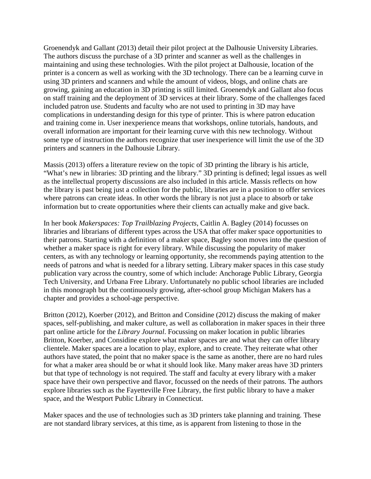Groenendyk and Gallant (2013) detail their pilot project at the Dalhousie University Libraries. The authors discuss the purchase of a 3D printer and scanner as well as the challenges in maintaining and using these technologies. With the pilot project at Dalhousie, location of the printer is a concern as well as working with the 3D technology. There can be a learning curve in using 3D printers and scanners and while the amount of videos, blogs, and online chats are growing, gaining an education in 3D printing is still limited. Groenendyk and Gallant also focus on staff training and the deployment of 3D services at their library. Some of the challenges faced included patron use. Students and faculty who are not used to printing in 3D may have complications in understanding design for this type of printer. This is where patron education and training come in. User inexperience means that workshops, online tutorials, handouts, and overall information are important for their learning curve with this new technology. Without some type of instruction the authors recognize that user inexperience will limit the use of the 3D printers and scanners in the Dalhousie Library.

Massis (2013) offers a literature review on the topic of 3D printing the library is his article, "What's new in libraries: 3D printing and the library." 3D printing is defined; legal issues as well as the intellectual property discussions are also included in this article. Massis reflects on how the library is past being just a collection for the public, libraries are in a position to offer services where patrons can create ideas. In other words the library is not just a place to absorb or take information but to create opportunities where their clients can actually make and give back.

In her book *Makerspaces: Top Trailblazing Projects*, Caitlin A. Bagley (2014) focusses on libraries and librarians of different types across the USA that offer maker space opportunities to their patrons. Starting with a definition of a maker space, Bagley soon moves into the question of whether a maker space is right for every library. While discussing the popularity of maker centers, as with any technology or learning opportunity, she recommends paying attention to the needs of patrons and what is needed for a library setting. Library maker spaces in this case study publication vary across the country, some of which include: Anchorage Public Library, Georgia Tech University, and Urbana Free Library. Unfortunately no public school libraries are included in this monograph but the continuously growing, after-school group Michigan Makers has a chapter and provides a school-age perspective.

Britton (2012), Koerber (2012), and Britton and Considine (2012) discuss the making of maker spaces, self-publishing, and maker culture, as well as collaboration in maker spaces in their three part online article for the *Library Journal*. Focussing on maker location in public libraries Britton, Koerber, and Considine explore what maker spaces are and what they can offer library clientele. Maker spaces are a location to play, explore, and to create. They reiterate what other authors have stated, the point that no maker space is the same as another, there are no hard rules for what a maker area should be or what it should look like. Many maker areas have 3D printers but that type of technology is not required. The staff and faculty at every library with a maker space have their own perspective and flavor, focussed on the needs of their patrons. The authors explore libraries such as the Fayetteville Free Library, the first public library to have a maker space, and the Westport Public Library in Connecticut.

Maker spaces and the use of technologies such as 3D printers take planning and training. These are not standard library services, at this time, as is apparent from listening to those in the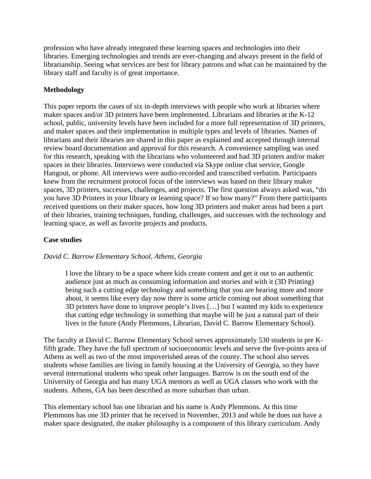profession who have already integrated these learning spaces and technologies into their libraries. Emerging technologies and trends are ever-changing and always present in the field of librarianship. Seeing what services are best for library patrons and what can be maintained by the library staff and faculty is of great importance.

# **Methodology**

This paper reports the cases of six in-depth interviews with people who work at libraries where maker spaces and/or 3D printers have been implemented. Librarians and libraries at the K-12 school, public, university levels have been included for a more full representation of 3D printers, and maker spaces and their implementation in multiple types and levels of libraries. Names of librarians and their libraries are shared in this paper as explained and accepted through internal review board documentation and approval for this research. A convenience sampling was used for this research, speaking with the librarians who volunteered and had 3D printers and/or maker spaces in their libraries. Interviews were conducted via Skype online chat service, Google Hangout, or phone. All interviews were audio-recorded and transcribed verbatim. Participants knew from the recruitment protocol focus of the interviews was based on their library maker spaces, 3D printers, successes, challenges, and projects. The first question always asked was, "do you have 3D Printers in your library or learning space? If so how many?" From there participants received questions on their maker spaces, how long 3D printers and maker areas had been a part of their libraries, training techniques, funding, challenges, and successes with the technology and learning space, as well as favorite projects and products.

## **Case studies**

## *David C. Barrow Elementary School, Athens, Georgia*

I love the library to be a space where kids create content and get it out to an authentic audience just as much as consuming information and stories and with it (3D Printing) being such a cutting edge technology and something that you are hearing more and more about, it seems like every day now there is some article coming out about something that 3D printers have done to improve people's lives […] but I wanted my kids to experience that cutting edge technology in something that maybe will be just a natural part of their lives in the future (Andy Plemmons, Librarian, David C. Barrow Elementary School).

The faculty at David C. Barrow Elementary School serves approximately 530 students in pre Kfifth grade. They have the full spectrum of socioeconomic levels and serve the five-points area of Athens as well as two of the most impoverished areas of the county. The school also serves students whose families are living in family housing at the University of Georgia, so they have several international students who speak other languages. Barrow is on the south end of the University of Georgia and has many UGA mentors as well as UGA classes who work with the students. Athens, GA has been described as more suburban than urban.

This elementary school has one librarian and his name is Andy Plemmons. At this time Plemmons has one 3D printer that he received in November, 2013 and while he does not have a maker space designated, the maker philosophy is a component of this library curriculum. Andy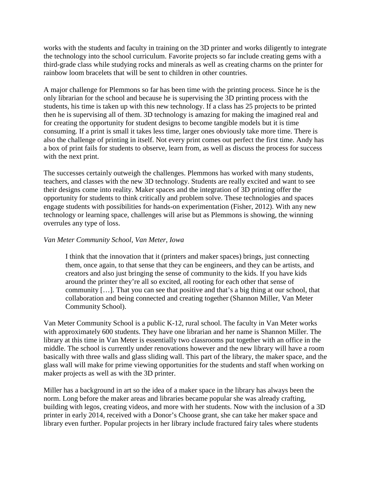works with the students and faculty in training on the 3D printer and works diligently to integrate the technology into the school curriculum. Favorite projects so far include creating gems with a third-grade class while studying rocks and minerals as well as creating charms on the printer for rainbow loom bracelets that will be sent to children in other countries.

A major challenge for Plemmons so far has been time with the printing process. Since he is the only librarian for the school and because he is supervising the 3D printing process with the students, his time is taken up with this new technology. If a class has 25 projects to be printed then he is supervising all of them. 3D technology is amazing for making the imagined real and for creating the opportunity for student designs to become tangible models but it is time consuming. If a print is small it takes less time, larger ones obviously take more time. There is also the challenge of printing in itself. Not every print comes out perfect the first time. Andy has a box of print fails for students to observe, learn from, as well as discuss the process for success with the next print.

The successes certainly outweigh the challenges. Plemmons has worked with many students, teachers, and classes with the new 3D technology. Students are really excited and want to see their designs come into reality. Maker spaces and the integration of 3D printing offer the opportunity for students to think critically and problem solve. These technologies and spaces engage students with possibilities for hands-on experimentation (Fisher, 2012). With any new technology or learning space, challenges will arise but as Plemmons is showing, the winning overrules any type of loss.

### *Van Meter Community School, Van Meter, Iowa*

I think that the innovation that it (printers and maker spaces) brings, just connecting them, once again, to that sense that they can be engineers, and they can be artists, and creators and also just bringing the sense of community to the kids. If you have kids around the printer they're all so excited, all rooting for each other that sense of community […]. That you can see that positive and that's a big thing at our school, that collaboration and being connected and creating together (Shannon Miller, Van Meter Community School).

Van Meter Community School is a public K-12, rural school. The faculty in Van Meter works with approximately 600 students. They have one librarian and her name is Shannon Miller. The library at this time in Van Meter is essentially two classrooms put together with an office in the middle. The school is currently under renovations however and the new library will have a room basically with three walls and glass sliding wall. This part of the library, the maker space, and the glass wall will make for prime viewing opportunities for the students and staff when working on maker projects as well as with the 3D printer.

Miller has a background in art so the idea of a maker space in the library has always been the norm. Long before the maker areas and libraries became popular she was already crafting, building with legos, creating videos, and more with her students. Now with the inclusion of a 3D printer in early 2014, received with a Donor's Choose grant, she can take her maker space and library even further. Popular projects in her library include fractured fairy tales where students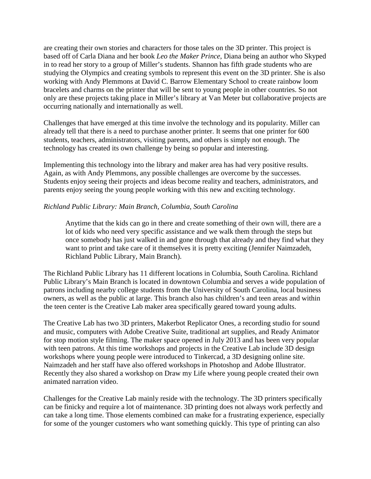are creating their own stories and characters for those tales on the 3D printer. This project is based off of Carla Diana and her book *Leo the Maker Prince*, Diana being an author who Skyped in to read her story to a group of Miller's students. Shannon has fifth grade students who are studying the Olympics and creating symbols to represent this event on the 3D printer. She is also working with Andy Plemmons at David C. Barrow Elementary School to create rainbow loom bracelets and charms on the printer that will be sent to young people in other countries. So not only are these projects taking place in Miller's library at Van Meter but collaborative projects are occurring nationally and internationally as well.

Challenges that have emerged at this time involve the technology and its popularity. Miller can already tell that there is a need to purchase another printer. It seems that one printer for 600 students, teachers, administrators, visiting parents, and others is simply not enough. The technology has created its own challenge by being so popular and interesting.

Implementing this technology into the library and maker area has had very positive results. Again, as with Andy Plemmons, any possible challenges are overcome by the successes. Students enjoy seeing their projects and ideas become reality and teachers, administrators, and parents enjoy seeing the young people working with this new and exciting technology.

### *Richland Public Library: Main Branch, Columbia, South Carolina*

Anytime that the kids can go in there and create something of their own will, there are a lot of kids who need very specific assistance and we walk them through the steps but once somebody has just walked in and gone through that already and they find what they want to print and take care of it themselves it is pretty exciting (Jennifer Naimzadeh, Richland Public Library, Main Branch).

The Richland Public Library has 11 different locations in Columbia, South Carolina. Richland Public Library's Main Branch is located in downtown Columbia and serves a wide population of patrons including nearby college students from the University of South Carolina, local business owners, as well as the public at large. This branch also has children's and teen areas and within the teen center is the Creative Lab maker area specifically geared toward young adults.

The Creative Lab has two 3D printers, Makerbot Replicator Ones, a recording studio for sound and music, computers with Adobe Creative Suite, traditional art supplies, and Ready Animator for stop motion style filming. The maker space opened in July 2013 and has been very popular with teen patrons. At this time workshops and projects in the Creative Lab include 3D design workshops where young people were introduced to Tinkercad, a 3D designing online site. Naimzadeh and her staff have also offered workshops in Photoshop and Adobe Illustrator. Recently they also shared a workshop on Draw my Life where young people created their own animated narration video.

Challenges for the Creative Lab mainly reside with the technology. The 3D printers specifically can be finicky and require a lot of maintenance. 3D printing does not always work perfectly and can take a long time. Those elements combined can make for a frustrating experience, especially for some of the younger customers who want something quickly. This type of printing can also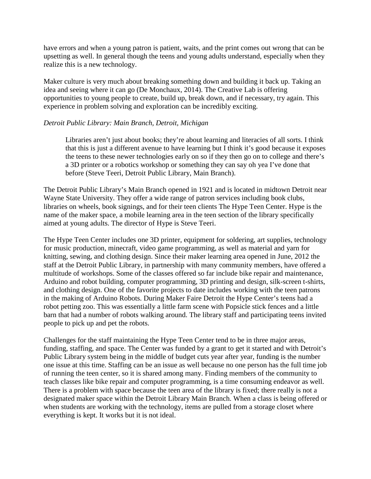have errors and when a young patron is patient, waits, and the print comes out wrong that can be upsetting as well. In general though the teens and young adults understand, especially when they realize this is a new technology.

Maker culture is very much about breaking something down and building it back up. Taking an idea and seeing where it can go (De Monchaux, 2014). The Creative Lab is offering opportunities to young people to create, build up, break down, and if necessary, try again. This experience in problem solving and exploration can be incredibly exciting.

### *Detroit Public Library: Main Branch, Detroit, Michigan*

Libraries aren't just about books; they're about learning and literacies of all sorts. I think that this is just a different avenue to have learning but I think it's good because it exposes the teens to these newer technologies early on so if they then go on to college and there's a 3D printer or a robotics workshop or something they can say oh yea I've done that before (Steve Teeri, Detroit Public Library, Main Branch).

The Detroit Public Library's Main Branch opened in 1921 and is located in midtown Detroit near Wayne State University. They offer a wide range of patron services including book clubs, libraries on wheels, book signings, and for their teen clients The Hype Teen Center. Hype is the name of the maker space, a mobile learning area in the teen section of the library specifically aimed at young adults. The director of Hype is Steve Teeri.

The Hype Teen Center includes one 3D printer, equipment for soldering, art supplies, technology for music production, minecraft, video game programming, as well as material and yarn for knitting, sewing, and clothing design. Since their maker learning area opened in June, 2012 the staff at the Detroit Public Library, in partnership with many community members, have offered a multitude of workshops. Some of the classes offered so far include bike repair and maintenance, Arduino and robot building, computer programming, 3D printing and design, silk-screen t-shirts, and clothing design. One of the favorite projects to date includes working with the teen patrons in the making of Arduino Robots. During Maker Faire Detroit the Hype Center's teens had a robot petting zoo. This was essentially a little farm scene with Popsicle stick fences and a little barn that had a number of robots walking around. The library staff and participating teens invited people to pick up and pet the robots.

Challenges for the staff maintaining the Hype Teen Center tend to be in three major areas, funding, staffing, and space. The Center was funded by a grant to get it started and with Detroit's Public Library system being in the middle of budget cuts year after year, funding is the number one issue at this time. Staffing can be an issue as well because no one person has the full time job of running the teen center, so it is shared among many. Finding members of the community to teach classes like bike repair and computer programming, is a time consuming endeavor as well. There is a problem with space because the teen area of the library is fixed; there really is not a designated maker space within the Detroit Library Main Branch. When a class is being offered or when students are working with the technology, items are pulled from a storage closet where everything is kept. It works but it is not ideal.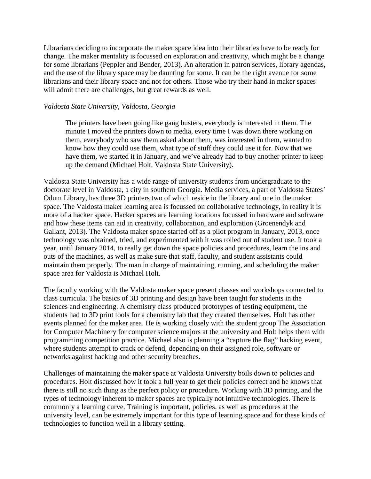Librarians deciding to incorporate the maker space idea into their libraries have to be ready for change. The maker mentality is focussed on exploration and creativity, which might be a change for some librarians (Peppler and Bender, 2013). An alteration in patron services, library agendas, and the use of the library space may be daunting for some. It can be the right avenue for some librarians and their library space and not for others. Those who try their hand in maker spaces will admit there are challenges, but great rewards as well.

#### *Valdosta State University, Valdosta, Georgia*

The printers have been going like gang busters, everybody is interested in them. The minute I moved the printers down to media, every time I was down there working on them, everybody who saw them asked about them, was interested in them, wanted to know how they could use them, what type of stuff they could use it for. Now that we have them, we started it in January, and we've already had to buy another printer to keep up the demand (Michael Holt, Valdosta State University).

Valdosta State University has a wide range of university students from undergraduate to the doctorate level in Valdosta, a city in southern Georgia. Media services, a part of Valdosta States' Odum Library, has three 3D printers two of which reside in the library and one in the maker space. The Valdosta maker learning area is focussed on collaborative technology, in reality it is more of a hacker space. Hacker spaces are learning locations focussed in hardware and software and how these items can aid in creativity, collaboration, and exploration (Groenendyk and Gallant, 2013). The Valdosta maker space started off as a pilot program in January, 2013, once technology was obtained, tried, and experimented with it was rolled out of student use. It took a year, until January 2014, to really get down the space policies and procedures, learn the ins and outs of the machines, as well as make sure that staff, faculty, and student assistants could maintain them properly. The man in charge of maintaining, running, and scheduling the maker space area for Valdosta is Michael Holt.

The faculty working with the Valdosta maker space present classes and workshops connected to class curricula. The basics of 3D printing and design have been taught for students in the sciences and engineering. A chemistry class produced prototypes of testing equipment, the students had to 3D print tools for a chemistry lab that they created themselves. Holt has other events planned for the maker area. He is working closely with the student group The Association for Computer Machinery for computer science majors at the university and Holt helps them with programming competition practice. Michael also is planning a "capture the flag" hacking event, where students attempt to crack or defend, depending on their assigned role, software or networks against hacking and other security breaches.

Challenges of maintaining the maker space at Valdosta University boils down to policies and procedures. Holt discussed how it took a full year to get their policies correct and he knows that there is still no such thing as the perfect policy or procedure. Working with 3D printing, and the types of technology inherent to maker spaces are typically not intuitive technologies. There is commonly a learning curve. Training is important, policies, as well as procedures at the university level, can be extremely important for this type of learning space and for these kinds of technologies to function well in a library setting.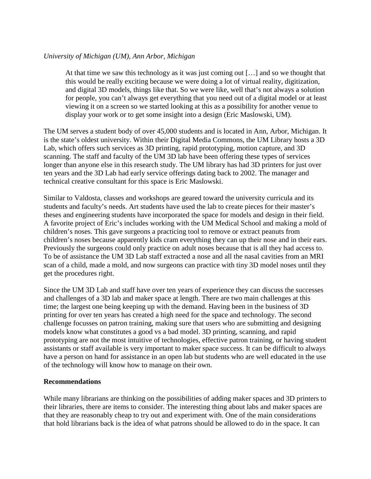### *University of Michigan (UM), Ann Arbor, Michigan*

At that time we saw this technology as it was just coming out […] and so we thought that this would be really exciting because we were doing a lot of virtual reality, digitization, and digital 3D models, things like that. So we were like, well that's not always a solution for people, you can't always get everything that you need out of a digital model or at least viewing it on a screen so we started looking at this as a possibility for another venue to display your work or to get some insight into a design (Eric Maslowski, UM).

The UM serves a student body of over 45,000 students and is located in Ann, Arbor, Michigan. It is the state's oldest university. Within their Digital Media Commons, the UM Library hosts a 3D Lab, which offers such services as 3D printing, rapid prototyping, motion capture, and 3D scanning. The staff and faculty of the UM 3D lab have been offering these types of services longer than anyone else in this research study. The UM library has had 3D printers for just over ten years and the 3D Lab had early service offerings dating back to 2002. The manager and technical creative consultant for this space is Eric Maslowski.

Similar to Valdosta, classes and workshops are geared toward the university curricula and its students and faculty's needs. Art students have used the lab to create pieces for their master's theses and engineering students have incorporated the space for models and design in their field. A favorite project of Eric's includes working with the UM Medical School and making a mold of children's noses. This gave surgeons a practicing tool to remove or extract peanuts from children's noses because apparently kids cram everything they can up their nose and in their ears. Previously the surgeons could only practice on adult noses because that is all they had access to. To be of assistance the UM 3D Lab staff extracted a nose and all the nasal cavities from an MRI scan of a child, made a mold, and now surgeons can practice with tiny 3D model noses until they get the procedures right.

Since the UM 3D Lab and staff have over ten years of experience they can discuss the successes and challenges of a 3D lab and maker space at length. There are two main challenges at this time; the largest one being keeping up with the demand. Having been in the business of 3D printing for over ten years has created a high need for the space and technology. The second challenge focusses on patron training, making sure that users who are submitting and designing models know what constitutes a good vs a bad model. 3D printing, scanning, and rapid prototyping are not the most intuitive of technologies, effective patron training, or having student assistants or staff available is very important to maker space success. It can be difficult to always have a person on hand for assistance in an open lab but students who are well educated in the use of the technology will know how to manage on their own.

### **Recommendations**

While many librarians are thinking on the possibilities of adding maker spaces and 3D printers to their libraries, there are items to consider. The interesting thing about labs and maker spaces are that they are reasonably cheap to try out and experiment with. One of the main considerations that hold librarians back is the idea of what patrons should be allowed to do in the space. It can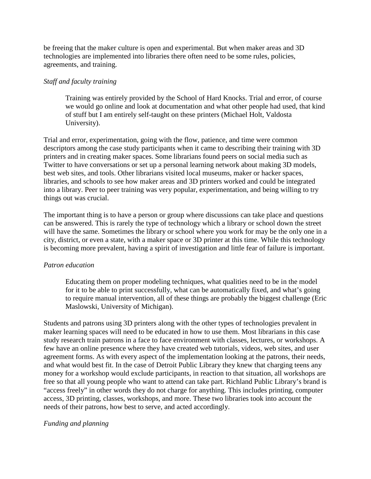be freeing that the maker culture is open and experimental. But when maker areas and 3D technologies are implemented into libraries there often need to be some rules, policies, agreements, and training.

### *Staff and faculty training*

Training was entirely provided by the School of Hard Knocks. Trial and error, of course we would go online and look at documentation and what other people had used, that kind of stuff but I am entirely self-taught on these printers (Michael Holt, Valdosta University).

Trial and error, experimentation, going with the flow, patience, and time were common descriptors among the case study participants when it came to describing their training with 3D printers and in creating maker spaces. Some librarians found peers on social media such as Twitter to have conversations or set up a personal learning network about making 3D models, best web sites, and tools. Other librarians visited local museums, maker or hacker spaces, libraries, and schools to see how maker areas and 3D printers worked and could be integrated into a library. Peer to peer training was very popular, experimentation, and being willing to try things out was crucial.

The important thing is to have a person or group where discussions can take place and questions can be answered. This is rarely the type of technology which a library or school down the street will have the same. Sometimes the library or school where you work for may be the only one in a city, district, or even a state, with a maker space or 3D printer at this time. While this technology is becoming more prevalent, having a spirit of investigation and little fear of failure is important.

### *Patron education*

Educating them on proper modeling techniques, what qualities need to be in the model for it to be able to print successfully, what can be automatically fixed, and what's going to require manual intervention, all of these things are probably the biggest challenge (Eric Maslowski, University of Michigan).

Students and patrons using 3D printers along with the other types of technologies prevalent in maker learning spaces will need to be educated in how to use them. Most librarians in this case study research train patrons in a face to face environment with classes, lectures, or workshops. A few have an online presence where they have created web tutorials, videos, web sites, and user agreement forms. As with every aspect of the implementation looking at the patrons, their needs, and what would best fit. In the case of Detroit Public Library they knew that charging teens any money for a workshop would exclude participants, in reaction to that situation, all workshops are free so that all young people who want to attend can take part. Richland Public Library's brand is "access freely" in other words they do not charge for anything. This includes printing, computer access, 3D printing, classes, workshops, and more. These two libraries took into account the needs of their patrons, how best to serve, and acted accordingly.

## *Funding and planning*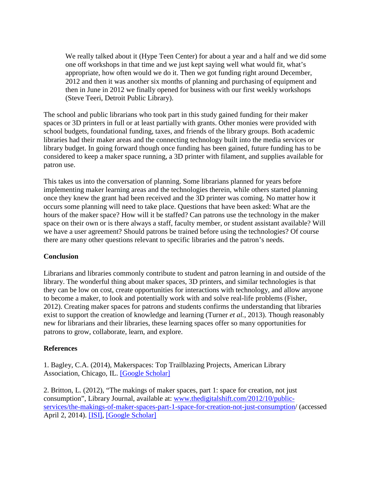We really talked about it (Hype Teen Center) for about a year and a half and we did some one off workshops in that time and we just kept saying well what would fit, what's appropriate, how often would we do it. Then we got funding right around December, 2012 and then it was another six months of planning and purchasing of equipment and then in June in 2012 we finally opened for business with our first weekly workshops (Steve Teeri, Detroit Public Library).

The school and public librarians who took part in this study gained funding for their maker spaces or 3D printers in full or at least partially with grants. Other monies were provided with school budgets, foundational funding, taxes, and friends of the library groups. Both academic libraries had their maker areas and the connecting technology built into the media services or library budget. In going forward though once funding has been gained, future funding has to be considered to keep a maker space running, a 3D printer with filament, and supplies available for patron use.

This takes us into the conversation of planning. Some librarians planned for years before implementing maker learning areas and the technologies therein, while others started planning once they knew the grant had been received and the 3D printer was coming. No matter how it occurs some planning will need to take place. Questions that have been asked: What are the hours of the maker space? How will it be staffed? Can patrons use the technology in the maker space on their own or is there always a staff, faculty member, or student assistant available? Will we have a user agreement? Should patrons be trained before using the technologies? Of course there are many other questions relevant to specific libraries and the patron's needs.

### **Conclusion**

Librarians and libraries commonly contribute to student and patron learning in and outside of the library. The wonderful thing about maker spaces, 3D printers, and similar technologies is that they can be low on cost, create opportunities for interactions with technology, and allow anyone to become a maker, to look and potentially work with and solve real-life problems (Fisher, 2012). Creating maker spaces for patrons and students confirms the understanding that libraries exist to support the creation of knowledge and learning (Turner *et al.*, 2013). Though reasonably new for librarians and their libraries, these learning spaces offer so many opportunities for patrons to grow, collaborate, learn, and explore.

### **References**

1. Bagley, C.A. (2014), Makerspaces: Top Trailblazing Projects, American Library Association, Chicago, IL. [\[Google Scholar\]](http://scholar.google.com/scholar?hl=en&q=+Bagley%2C+C.A.+%282014%29%2C+Makerspaces%3A+Top+Trailblazing+Projects%2C+American+Library+Association%2C+Chicago%2C+IL.)

2. Britton, L. (2012), "The makings of maker spaces, part 1: space for creation, not just consumption", Library Journal, available at: [www.thedigitalshift.com/2012/10/public](http://www.thedigitalshift.com/2012/10/public-services/the-makings-of-maker-spaces-part-1-space-for-creation-not-just-consumption)[services/the-makings-of-maker-spaces-part-1-space-for-creation-not-just-consumption/](http://www.thedigitalshift.com/2012/10/public-services/the-makings-of-maker-spaces-part-1-space-for-creation-not-just-consumption) (accessed April 2, 2014). [\[ISI\],](https://www.emeraldinsight.com/servlet/linkout?suffix=b2&dbid=128&doi=10.1108%2FLHT-06-2014-0056&key=000309328300013) [\[Google Scholar\]](http://scholar.google.com/scholar?hl=en&q=+Britton%2C+L.+%282012%29%2C+%E2%80%9CThe+makings+of+maker+spaces%2C+part+1%3A+space+for+creation%2C+not+just+consumption%E2%80%9D%2C+Library+Journal%2C+available+at%3A+www.thedigitalshift.com%2F2012%2F10%2Fpublic-services%2Fthe-makings-of-maker-spaces-part-1-space-for-creation-not-just-consumption%2F+%28accessed+April+2%2C+2014%29.)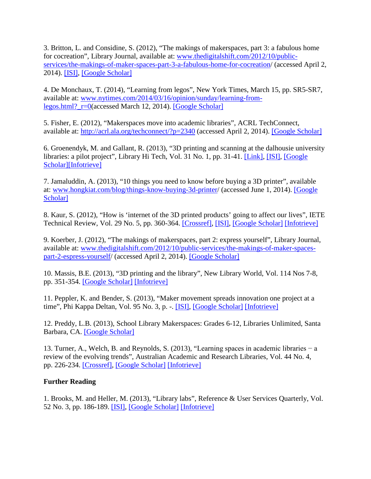3. Britton, L. and Considine, S. (2012), "The makings of makerspaces, part 3: a fabulous home for cocreation". Library Journal, available at: [www.thedigitalshift.com/2012/10/public](http://www.thedigitalshift.com/2012/10/public-services/the-makings-of-maker-spaces-part-3-a-fabulous-home-for-cocreation)[services/the-makings-of-maker-spaces-part-3-a-fabulous-home-for-cocreation/](http://www.thedigitalshift.com/2012/10/public-services/the-makings-of-maker-spaces-part-3-a-fabulous-home-for-cocreation) (accessed April 2, 2014). [\[ISI\],](https://www.emeraldinsight.com/servlet/linkout?suffix=b3&dbid=128&doi=10.1108%2FLHT-06-2014-0056&key=000309328300015) [\[Google Scholar\]](http://scholar.google.com/scholar?hl=en&q=+Britton%2C+L.+and+Considine%2C+S.+%282012%29%2C+%E2%80%9CThe+makings+of+makerspaces%2C+part+3%3A+a+fabulous+home+for+cocreation%E2%80%9D%2C+Library+Journal%2C+available+at%3A+www.thedigitalshift.com%2F2012%2F10%2Fpublic-services%2Fthe-makings-of-maker-spaces-part-3-a-fabulous-home-for-cocreation%2F+%28accessed+April+2%2C+2014%29.)

4. De Monchaux, T. (2014), "Learning from legos", New York Times, March 15, pp. SR5-SR7, available at: [www.nytimes.com/2014/03/16/opinion/sunday/learning-from](http://www.nytimes.com/2014/03/16/opinion/sunday/learning-from-legos.html?_r=0)[legos.html?\\_r=0\(](http://www.nytimes.com/2014/03/16/opinion/sunday/learning-from-legos.html?_r=0)accessed March 12, 2014). [\[Google Scholar\]](http://scholar.google.com/scholar?hl=en&q=+De+Monchaux%2C+T.+%282014%29%2C+%E2%80%9CLearning+from+legos%E2%80%9D%2C+New+York+Times%2C+March+15%2C+pp.+SR5-SR7%2C+available+at%3A+www.nytimes.com%2F2014%2F03%2F16%2Fopinion%2Fsunday%2Flearning-from-legos.html%3F_r%3D0+%28accessed+March+12%2C+2014%29.)

5. Fisher, E. (2012), "Makerspaces move into academic libraries", ACRL TechConnect, available at: <http://acrl.ala.org/techconnect/?p=2340> (accessed April 2, 2014). [\[Google Scholar\]](http://scholar.google.com/scholar?hl=en&q=+Fisher%2C+E.+%282012%29%2C+%E2%80%9CMakerspaces+move+into+academic+libraries%E2%80%9D%2C+ACRL+TechConnect%2C+available+at%3A+http%3A%2F%2Facrl.ala.org%2Ftechconnect%2F%3Fp%3D2340+%28accessed+April+2%2C+2014%29.)

6. Groenendyk, M. and Gallant, R. (2013), "3D printing and scanning at the dalhousie university libraries: a pilot project", Library Hi Tech, Vol. 31 No. 1, pp. 31-41. [\[Link\],](https://www.emeraldinsight.com/doi/10.1108/07378831311303912) [\[ISI\],](https://www.emeraldinsight.com/servlet/linkout?suffix=b7&dbid=128&doi=10.1108%2FLHT-06-2014-0056&key=000316773600003) [Google [Scholar\]](http://scholar.google.com/scholar?hl=en&q=+Groenendyk%2C+M.+and+Gallant%2C+R.+%282013%29%2C+%E2%80%9C3D+printing+and+scanning+at+the+dalhousie+university+libraries%3A+a+pilot+project%E2%80%9D%2C+Library+Hi+Tech%2C+Vol.+31+No.+1%2C+pp.+-.)[\[Infotrieve\]](https://www.contentscm.com/vlib/order/OpenURLReceive.aspx?clientid=8710&rft_val_fmt=info:ofi/fmt:kev:mtx:journal&rft.volume=31&rft.issue=1&rft.atitle=3D+printing+and+scanning+at+the+dalhousie+university+libraries%3A+a+pilot+project&rft.jtitle=Library+Hi+Tech&rft.date=2013)

7. Jamaluddin, A. (2013), "10 things you need to know before buying a 3D printer", available at: [www.hongkiat.com/blog/things-know-buying-3d-printer/](http://www.hongkiat.com/blog/things-know-buying-3d-printer) (accessed June 1, 2014). [\[Google](http://scholar.google.com/scholar?hl=en&q=+Jamaluddin%2C+A.+%282013%29%2C+%E2%80%9C10+things+you+need+to+know+before+buying+a+3D+printer%E2%80%9D%2C+available+at%3A+www.hongkiat.com%2Fblog%2Fthings-know-buying-3d-printer%2F+%28accessed+June+1%2C+2014%29.)  [Scholar\]](http://scholar.google.com/scholar?hl=en&q=+Jamaluddin%2C+A.+%282013%29%2C+%E2%80%9C10+things+you+need+to+know+before+buying+a+3D+printer%E2%80%9D%2C+available+at%3A+www.hongkiat.com%2Fblog%2Fthings-know-buying-3d-printer%2F+%28accessed+June+1%2C+2014%29.)

8. Kaur, S. (2012), "How is 'internet of the 3D printed products' going to affect our lives", IETE Technical Review, Vol. 29 No. 5, pp. 360-364. [\[Crossref\],](https://www.emeraldinsight.com/servlet/linkout?suffix=b9&dbid=16&doi=10.1108%2FLHT-06-2014-0056&key=10.4103%2F0256-4602.103164) [\[ISI\],](https://www.emeraldinsight.com/servlet/linkout?suffix=b9&dbid=128&doi=10.1108%2FLHT-06-2014-0056&key=000311734900002) [\[Google Scholar\]](http://scholar.google.com/scholar?hl=en&q=+Kaur%2C+S.+%282012%29%2C+%E2%80%9CHow+is+%E2%80%98internet+of+the+3D+printed+products%E2%80%99+going+to+affect+our+lives%E2%80%9D%2C+IETE+Technical+Review%2C+Vol.+29+No.+5%2C+pp.+-.) [\[Infotrieve\]](https://www.contentscm.com/vlib/order/OpenURLReceive.aspx?clientid=8710&rft_val_fmt=info:ofi/fmt:kev:mtx:journal&rft.volume=29&rft.issue=5&rft.atitle=How+is+%E2%80%98internet+of+the+3D+printed+products%E2%80%99+going+to+affect+our+lives&rft.jtitle=IETE+Technical+Review&rft.date=2012)

9. Koerber, J. (2012), "The makings of makerspaces, part 2: express yourself", Library Journal, available at: [www.thedigitalshift.com/2012/10/public-services/the-makings-of-maker-spaces](http://www.thedigitalshift.com/2012/10/public-services/the-makings-of-maker-spaces-part-2-espress-yourself)[part-2-espress-yourself/](http://www.thedigitalshift.com/2012/10/public-services/the-makings-of-maker-spaces-part-2-espress-yourself) (accessed April 2, 2014). [\[Google Scholar\]](http://scholar.google.com/scholar?hl=en&q=+Koerber%2C+J.+%282012%29%2C+%E2%80%9CThe+makings+of+makerspaces%2C+part+2%3A+express+yourself%E2%80%9D%2C+Library+Journal%2C+available+at%3A+www.thedigitalshift.com%2F2012%2F10%2Fpublic-services%2Fthe-makings-of-maker-spaces-part-2-espress-yourself%2F+%28accessed+April+2%2C+2014%29.)

10. Massis, B.E. (2013), "3D printing and the library", New Library World, Vol. 114 Nos 7-8, pp. 351-354. [\[Google Scholar\]](http://scholar.google.com/scholar?hl=en&q=+Massis%2C+B.E.+%282013%29%2C+%E2%80%9C3D+printing+and+the+library%E2%80%9D%2C+New+Library+World%2C+Vol.+114+Nos+7-8%2C+pp.+-.) [\[Infotrieve\]](https://www.contentscm.com/vlib/order/OpenURLReceive.aspx?clientid=8710&rft_val_fmt=info:ofi/fmt:kev:mtx:journal&rft.volume=114&rft.issue=7-8&rft.atitle=3D+printing+and+the+library&rft.jtitle=New+Library+World&rft.date=2013)

11. Peppler, K. and Bender, S. (2013), "Maker movement spreads innovation one project at a time", Phi Kappa Deltan, Vol. 95 No. 3, p. -. [\[ISI\],](https://www.emeraldinsight.com/servlet/linkout?suffix=b13&dbid=128&doi=10.1108%2FLHT-06-2014-0056&key=000326669900005) [\[Google Scholar\]](http://scholar.google.com/scholar?hl=en&q=+Peppler%2C+K.+and+Bender%2C+S.+%282013%29%2C+%E2%80%9CMaker+movement+spreads+innovation+one+project+at+a+time%E2%80%9D%2C+Phi+Kappa+Deltan%2C+Vol.+95+No.+3%2C+p.+-.) [\[Infotrieve\]](https://www.contentscm.com/vlib/order/OpenURLReceive.aspx?clientid=8710&rft_val_fmt=info:ofi/fmt:kev:mtx:journal&rft.volume=95&rft.issue=3&rft.atitle=Maker+movement+spreads+innovation+one+project+at+a+time&rft.jtitle=Phi+Kappa+Deltan&rft.date=2013)

12. Preddy, L.B. (2013), School Library Makerspaces: Grades 6-12, Libraries Unlimited, Santa Barbara, CA. [\[Google Scholar\]](http://scholar.google.com/scholar?hl=en&q=+Preddy%2C+L.B.+%282013%29%2C+School+Library+Makerspaces%3A+Grades+6-12%2C+Libraries+Unlimited%2C+Santa+Barbara%2C+CA.)

13. Turner, A., Welch, B. and Reynolds, S. (2013), "Learning spaces in academic libraries − a review of the evolving trends", Australian Academic and Research Libraries, Vol. 44 No. 4, pp. 226-234. [\[Crossref\],](https://www.emeraldinsight.com/servlet/linkout?suffix=b15&dbid=16&doi=10.1108%2FLHT-06-2014-0056&key=10.1080%2F00048623.2013.857383) [\[Google Scholar\]](http://scholar.google.com/scholar?hl=en&q=+Turner%2C+A.%2C+Welch%2C+B.+and+Reynolds%2C+S.+%282013%29%2C+%E2%80%9CLearning+spaces+in+academic+libraries+%E2%88%92+a+review+of+the+evolving+trends%E2%80%9D%2C+Australian+Academic+and+Research+Libraries%2C+Vol.+44+No.+4%2C+pp.+-.) [\[Infotrieve\]](https://www.contentscm.com/vlib/order/OpenURLReceive.aspx?clientid=8710&rft_val_fmt=info:ofi/fmt:kev:mtx:journal&rft.volume=44&rft.issue=4&rft.atitle=Learning+spaces+in+academic+libraries+%E2%88%92+a+review+of+the+evolving+trends&rft.jtitle=Australian+Academic+and+Research+Libraries&rft.date=2013)

## **Further Reading**

1. Brooks, M. and Heller, M. (2013), "Library labs", Reference & User Services Quarterly, Vol. 52 No. 3, pp. 186-189. [\[ISI\],](https://www.emeraldinsight.com/servlet/linkout?suffix=frd1&dbid=128&doi=10.1108%2FLHT-06-2014-0056&key=000340829300003) [\[Google Scholar\]](http://scholar.google.com/scholar?hl=en&q=+Brooks%2C+M.+and+Heller%2C+M.+%282013%29%2C+%E2%80%9CLibrary+labs%E2%80%9D%2C+Reference+%26+User+Services+Quarterly%2C+Vol.+52+No.+3%2C+pp.+-.) [\[Infotrieve\]](https://www.contentscm.com/vlib/order/OpenURLReceive.aspx?clientid=8710&rft_val_fmt=info:ofi/fmt:kev:mtx:journal&rft.volume=52&rft.issue=3&rft.atitle=Library+labs&rft.jtitle=Reference+%26+User+Services+Quarterly&rft.date=2013)